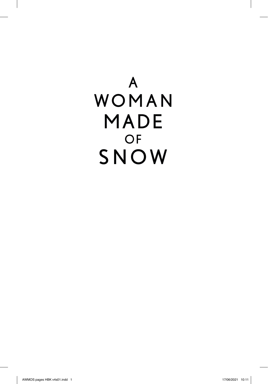$\mathsf{A}$ WOMAN **MADE** OF SNOW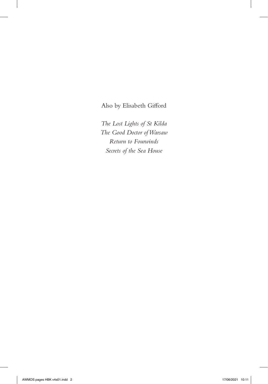Also by Elisabeth Gifford

*The Lost Lights of St Kilda The Good Doctor of Warsaw Return to Fourwinds Secrets of the Sea House*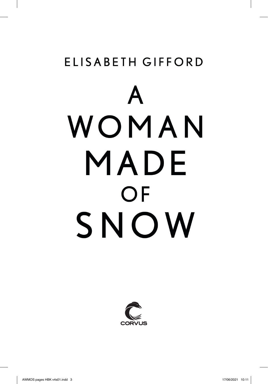# ELISABETH GIFFORD  $\mathsf{A}$ WOMAN MADE OF SNOW

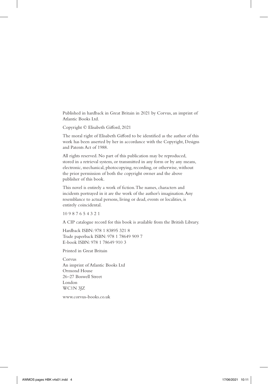Published in hardback in Great Britain in 2021 by Corvus, an imprint of Atlantic Books Ltd.

Copyright © Elisabeth Gifford, 2021

The moral right of Elisabeth Gifford to be identified as the author of this work has been asserted by her in accordance with the Copyright, Designs and Patents Act of 1988.

All rights reserved. No part of this publication may be reproduced, stored in a retrieval system, or transmitted in any form or by any means, electronic, mechanical, photocopying, recording, or otherwise, without the prior permission of both the copyright owner and the above publisher of this book.

This novel is entirely a work of fiction. The names, characters and incidents portrayed in it are the work of the author's imagination. Any resemblance to actual persons, living or dead, events or localities, is entirely coincidental.

10 9 8 7 6 5 4 3 2 1

A CIP catalogue record for this book is available from the British Library.

Hardback ISBN: 978 1 83895 321 8 Trade paperback ISBN: 978 1 78649 909 7 E-book ISBN: 978 1 78649 910 3

Printed in Great Britain

Corvus An imprint of Atlantic Books Ltd Ormond House 26–27 Boswell Street London WC1N 3JZ

www.corvus-books.co.uk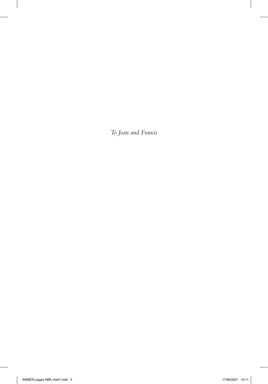*To Joan and Francis*

 $\overline{\phantom{a}}$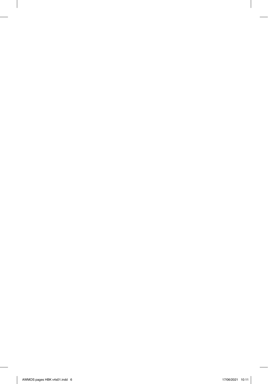$\overline{\phantom{a}}$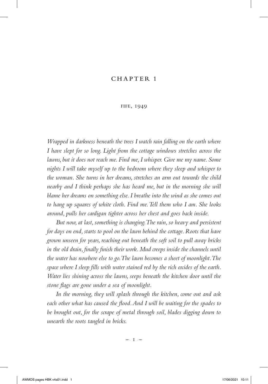# **CHAPTER 1**

## fife, 1949

*Wrapped in darkness beneath the trees I watch rain falling on the earth where I have slept for so long. Light from the cottage windows stretches across the lawns, but it does not reach me. Find me, I whisper. Give me my name. Some nights I will take myself up to the bedroom where they sleep and whisper to the woman. She turns in her dreams, stretches an arm out towards the child nearby and I think perhaps she has heard me, but in the morning she will blame her dreams on something else. I breathe into the wind as she comes out to hang up squares of white cloth. Find me. Tell them who I am. She looks around, pulls her cardigan tighter across her chest and goes back inside.*

*But now, at last, something is changing. The rain, so heavy and persistent for days on end, starts to pool on the lawn behind the cottage. Roots that have grown unseen for years, reaching out beneath the soft soil to pull away bricks*  in the old drain, finally finish their work. Mud creeps inside the channels until *the water has nowhere else to go. The lawn becomes a sheet of moonlight. The space where I sleep fills with water stained red by the rich oxides of the earth. Water lies shining across the lawns, seeps beneath the kitchen door until the stone flags are gone under a sea of moonlight.* 

*In the morning, they will splash through the kitchen, come out and ask each other what has caused the flood. And I will be waiting for the spades to be brought out, for the scrape of metal through soil, blades digging down to unearth the roots tangled in bricks.*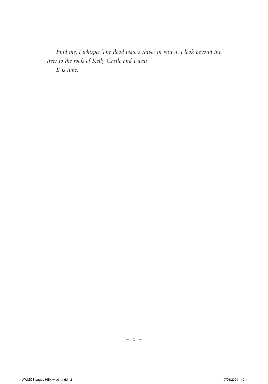*Find me, I whisper. The flood waters shiver in return. I look beyond the trees to the roofs of Kelly Castle and I wait. It is time*.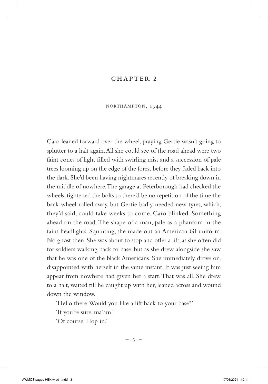## **CHAPTER 2**

#### northampton, 1944

Caro leaned forward over the wheel, praying Gertie wasn't going to splutter to a halt again. All she could see of the road ahead were two faint cones of light filled with swirling mist and a succession of pale trees looming up on the edge of the forest before they faded back into the dark. She'd been having nightmares recently of breaking down in the middle of nowhere. The garage at Peterborough had checked the wheels, tightened the bolts so there'd be no repetition of the time the back wheel rolled away, but Gertie badly needed new tyres, which, they'd said, could take weeks to come. Caro blinked. Something ahead on the road. The shape of a man, pale as a phantom in the faint headlights. Squinting, she made out an American GI uniform. No ghost then. She was about to stop and offer a lift, as she often did for soldiers walking back to base, but as she drew alongside she saw that he was one of the black Americans. She immediately drove on, disappointed with herself in the same instant. It was just seeing him appear from nowhere had given her a start. That was all. She drew to a halt, waited till he caught up with her, leaned across and wound down the window.

'Hello there. Would you like a lift back to your base?'

'If you're sure, ma'am.'

'Of course. Hop in.'

 $\sim$  3  $\sim$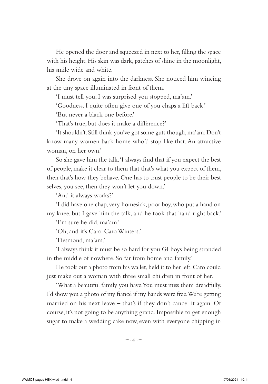He opened the door and squeezed in next to her, filling the space with his height. His skin was dark, patches of shine in the moonlight, his smile wide and white.

She drove on again into the darkness. She noticed him wincing at the tiny space illuminated in front of them.

'I must tell you, I was surprised you stopped, ma'am.'

'Goodness. I quite often give one of you chaps a lift back.'

'But never a black one before.'

'That's true, but does it make a difference?'

'It shouldn't. Still think you've got some guts though, ma'am. Don't know many women back home who'd stop like that. An attractive woman, on her own.'

So she gave him the talk. 'I always find that if you expect the best of people, make it clear to them that that's what you expect of them, then that's how they behave. One has to trust people to be their best selves, you see, then they won't let you down.'

'And it always works?'

'I did have one chap, very homesick, poor boy, who put a hand on my knee, but I gave him the talk, and he took that hand right back.'

'I'm sure he did, ma'am.'

'Oh, and it's Caro. Caro Winters.'

'Desmond, ma'am.'

'I always think it must be so hard for you GI boys being stranded in the middle of nowhere. So far from home and family.'

He took out a photo from his wallet, held it to her left. Caro could just make out a woman with three small children in front of her.

'What a beautiful family you have. You must miss them dreadfully. I'd show you a photo of my fiancé if my hands were free. We're getting married on his next leave – that's if they don't cancel it again. Of course, it's not going to be anything grand. Impossible to get enough sugar to make a wedding cake now, even with everyone chipping in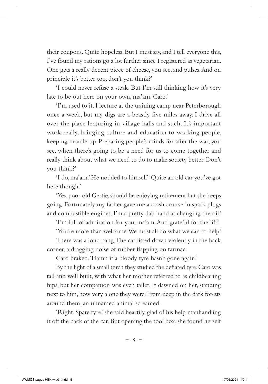their coupons. Quite hopeless. But I must say, and I tell everyone this, I've found my rations go a lot further since I registered as vegetarian. One gets a really decent piece of cheese, you see, and pulses. And on principle it's better too, don't you think?'

'I could never refuse a steak. But I'm still thinking how it's very late to be out here on your own, ma'am. Caro.'

'I'm used to it. I lecture at the training camp near Peterborough once a week, but my digs are a beastly five miles away. I drive all over the place lecturing in village halls and such. It's important work really, bringing culture and education to working people, keeping morale up. Preparing people's minds for after the war, you see, when there's going to be a need for us to come together and really think about what we need to do to make society better. Don't you think?'

'I do, ma'am.' He nodded to himself. 'Quite an old car you've got here though.'

'Yes, poor old Gertie, should be enjoying retirement but she keeps going. Fortunately my father gave me a crash course in spark plugs and combustible engines. I'm a pretty dab hand at changing the oil.'

'I'm full of admiration for you, ma'am. And grateful for the lift.'

'You're more than welcome. We must all do what we can to help.'

There was a loud bang. The car listed down violently in the back corner, a dragging noise of rubber flapping on tarmac.

Caro braked. 'Damn if a bloody tyre hasn't gone again.'

By the light of a small torch they studied the deflated tyre. Caro was tall and well built, with what her mother referred to as childbearing hips, but her companion was even taller. It dawned on her, standing next to him, how very alone they were. From deep in the dark forests around them, an unnamed animal screamed.

'Right. Spare tyre,' she said heartily, glad of his help manhandling it off the back of the car. But opening the tool box, she found herself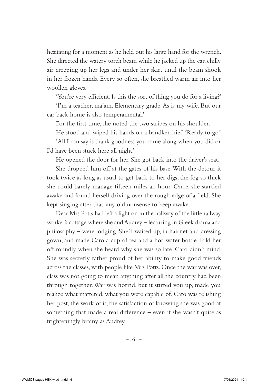hesitating for a moment as he held out his large hand for the wrench. She directed the watery torch beam while he jacked up the car, chilly air creeping up her legs and under her skirt until the beam shook in her frozen hands. Every so often, she breathed warm air into her woollen gloves.

'You're very efficient. Is this the sort of thing you do for a living?' 'I'm a teacher, ma'am. Elementary grade. As is my wife. But our car back home is also temperamental.'

For the first time, she noted the two stripes on his shoulder.

He stood and wiped his hands on a handkerchief. 'Ready to go.'

'All I can say is thank goodness you came along when you did or I'd have been stuck here all night.'

He opened the door for her. She got back into the driver's seat.

She dropped him off at the gates of his base. With the detour it took twice as long as usual to get back to her digs, the fog so thick she could barely manage fifteen miles an hour. Once, she startled awake and found herself driving over the rough edge of a field. She kept singing after that, any old nonsense to keep awake.

Dear Mrs Potts had left a light on in the hallway of the little railway worker's cottage where she and Audrey – lecturing in Greek drama and philosophy – were lodging. She'd waited up, in hairnet and dressing gown, and made Caro a cup of tea and a hot-water bottle. Told her off roundly when she heard why she was so late. Caro didn't mind. She was secretly rather proud of her ability to make good friends across the classes, with people like Mrs Potts. Once the war was over, class was not going to mean anything after all the country had been through together. War was horrid, but it stirred you up, made you realize what mattered, what you were capable of. Caro was relishing her post, the work of it, the satisfaction of knowing she was good at something that made a real difference – even if she wasn't quite as frighteningly brainy as Audrey.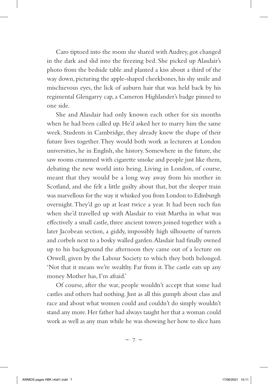Caro tiptoed into the room she shared with Audrey, got changed in the dark and slid into the freezing bed. She picked up Alasdair's photo from the bedside table and planted a kiss about a third of the way down, picturing the apple-shaped cheekbones, his shy smile and mischievous eyes, the lick of auburn hair that was held back by his regimental Glengarry cap, a Cameron Highlander's badge pinned to one side.

She and Alasdair had only known each other for six months when he had been called up. He'd asked her to marry him the same week. Students in Cambridge, they already knew the shape of their future lives together. They would both work as lecturers at London universities, he in English, she history. Somewhere in the future, she saw rooms crammed with cigarette smoke and people just like them, debating the new world into being. Living in London, of course, meant that they would be a long way away from his mother in Scotland, and she felt a little guilty about that, but the sleeper train was marvellous for the way it whisked you from London to Edinburgh overnight. They'd go up at least twice a year. It had been such fun when she'd travelled up with Alasdair to visit Martha in what was effectively a small castle, three ancient towers joined together with a later Jacobean section, a giddy, impossibly high silhouette of turrets and corbels next to a bosky walled garden. Alasdair had finally owned up to his background the afternoon they came out of a lecture on Orwell, given by the Labour Society to which they both belonged. 'Not that it means we're wealthy. Far from it. The castle eats up any money Mother has, I'm afraid.'

Of course, after the war, people wouldn't accept that some had castles and others had nothing. Just as all this gumph about class and race and about what women could and couldn't do simply wouldn't stand any more. Her father had always taught her that a woman could work as well as any man while he was showing her how to slice ham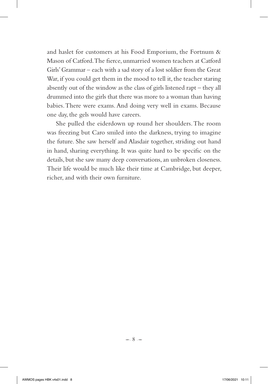and haslet for customers at his Food Emporium, the Fortnum & Mason of Catford. The fierce, unmarried women teachers at Catford Girls' Grammar – each with a sad story of a lost soldier from the Great War, if you could get them in the mood to tell it, the teacher staring absently out of the window as the class of girls listened rapt – they all drummed into the girls that there was more to a woman than having babies. There were exams. And doing very well in exams. Because one day, the gels would have careers.

She pulled the eiderdown up round her shoulders. The room was freezing but Caro smiled into the darkness, trying to imagine the future. She saw herself and Alasdair together, striding out hand in hand, sharing everything. It was quite hard to be specific on the details, but she saw many deep conversations, an unbroken closeness. Their life would be much like their time at Cambridge, but deeper, richer, and with their own furniture.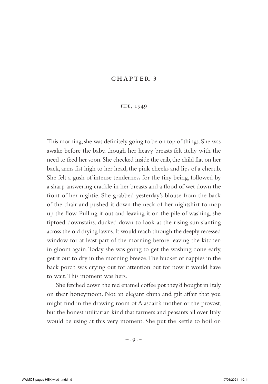# **CHAPTER 3**

### fife, 1949

This morning, she was definitely going to be on top of things. She was awake before the baby, though her heavy breasts felt itchy with the need to feed her soon. She checked inside the crib, the child flat on her back, arms fist high to her head, the pink cheeks and lips of a cherub. She felt a gush of intense tenderness for the tiny being, followed by a sharp answering crackle in her breasts and a flood of wet down the front of her nightie. She grabbed yesterday's blouse from the back of the chair and pushed it down the neck of her nightshirt to mop up the flow. Pulling it out and leaving it on the pile of washing, she tiptoed downstairs, ducked down to look at the rising sun slanting across the old drying lawns. It would reach through the deeply recessed window for at least part of the morning before leaving the kitchen in gloom again. Today she was going to get the washing done early, get it out to dry in the morning breeze. The bucket of nappies in the back porch was crying out for attention but for now it would have to wait. This moment was hers.

She fetched down the red enamel coffee pot they'd bought in Italy on their honeymoon. Not an elegant china and gilt affair that you might find in the drawing room of Alasdair's mother or the provost, but the honest utilitarian kind that farmers and peasants all over Italy would be using at this very moment. She put the kettle to boil on

 $-9 -$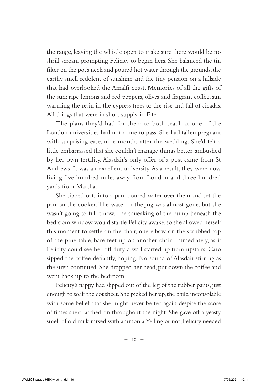the range, leaving the whistle open to make sure there would be no shrill scream prompting Felicity to begin hers. She balanced the tin filter on the pot's neck and poured hot water through the grounds, the earthy smell redolent of sunshine and the tiny pension on a hillside that had overlooked the Amalfi coast. Memories of all the gifts of the sun: ripe lemons and red peppers, olives and fragrant coffee, sun warming the resin in the cypress trees to the rise and fall of cicadas. All things that were in short supply in Fife.

The plans they'd had for them to both teach at one of the London universities had not come to pass. She had fallen pregnant with surprising ease, nine months after the wedding. She'd felt a little embarrassed that she couldn't manage things better, ambushed by her own fertility. Alasdair's only offer of a post came from St Andrews. It was an excellent university. As a result, they were now living five hundred miles away from London and three hundred yards from Martha.

She tipped oats into a pan, poured water over them and set the pan on the cooker. The water in the jug was almost gone, but she wasn't going to fill it now. The squeaking of the pump beneath the bedroom window would startle Felicity awake, so she allowed herself this moment to settle on the chair, one elbow on the scrubbed top of the pine table, bare feet up on another chair. Immediately, as if Felicity could see her off duty, a wail started up from upstairs. Caro sipped the coffee defiantly, hoping. No sound of Alasdair stirring as the siren continued. She dropped her head, put down the coffee and went back up to the bedroom.

Felicity's nappy had slipped out of the leg of the rubber pants, just enough to soak the cot sheet. She picked her up, the child inconsolable with some belief that she might never be fed again despite the score of times she'd latched on throughout the night. She gave off a yeasty smell of old milk mixed with ammonia. Yelling or not, Felicity needed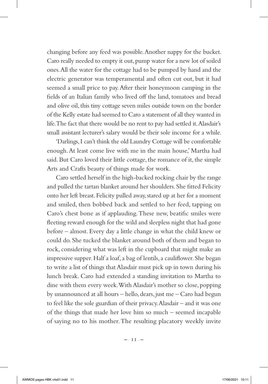changing before any feed was possible. Another nappy for the bucket. Caro really needed to empty it out, pump water for a new lot of soiled ones. All the water for the cottage had to be pumped by hand and the electric generator was temperamental and often cut out, but it had seemed a small price to pay. After their honeymoon camping in the fields of an Italian family who lived off the land, tomatoes and bread and olive oil, this tiny cottage seven miles outside town on the border of the Kelly estate had seemed to Caro a statement of all they wanted in life. The fact that there would be no rent to pay had settled it. Alasdair's small assistant lecturer's salary would be their sole income for a while.

'Darlings, I can't think the old Laundry Cottage will be comfortable enough. At least come live with me in the main house,' Martha had said. But Caro loved their little cottage, the romance of it, the simple Arts and Crafts beauty of things made for work.

Caro settled herself in the high-backed rocking chair by the range and pulled the tartan blanket around her shoulders. She fitted Felicity onto her left breast. Felicity pulled away, stared up at her for a moment and smiled, then bobbed back and settled to her feed, tapping on Caro's chest bone as if applauding. These new, beatific smiles were fleeting reward enough for the wild and sleepless night that had gone before – almost. Every day a little change in what the child knew or could do. She tucked the blanket around both of them and began to rock, considering what was left in the cupboard that might make an impressive supper. Half a loaf, a bag of lentils, a cauliflower. She began to write a list of things that Alasdair must pick up in town during his lunch break. Caro had extended a standing invitation to Martha to dine with them every week. With Alasdair's mother so close, popping by unannounced at all hours – hello, dears, just me – Caro had begun to feel like the sole guardian of their privacy. Alasdair – and it was one of the things that made her love him so much – seemed incapable of saying no to his mother. The resulting placatory weekly invite

 $\sim$   $\frac{1}{1}$   $\sim$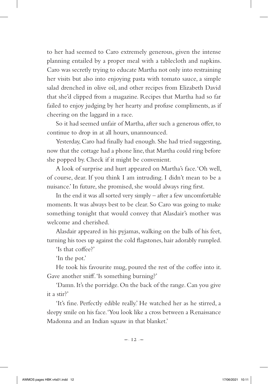to her had seemed to Caro extremely generous, given the intense planning entailed by a proper meal with a tablecloth and napkins. Caro was secretly trying to educate Martha not only into restraining her visits but also into enjoying pasta with tomato sauce, a simple salad drenched in olive oil, and other recipes from Elizabeth David that she'd clipped from a magazine. Recipes that Martha had so far failed to enjoy judging by her hearty and profuse compliments, as if cheering on the laggard in a race.

So it had seemed unfair of Martha, after such a generous offer, to continue to drop in at all hours, unannounced.

Yesterday, Caro had finally had enough. She had tried suggesting, now that the cottage had a phone line, that Martha could ring before she popped by. Check if it might be convenient.

A look of surprise and hurt appeared on Martha's face. 'Oh well, of course, dear. If you think I am intruding. I didn't mean to be a nuisance.' In future, she promised, she would always ring first.

In the end it was all sorted very simply – after a few uncomfortable moments. It was always best to be clear. So Caro was going to make something tonight that would convey that Alasdair's mother was welcome and cherished.

Alasdair appeared in his pyjamas, walking on the balls of his feet, turning his toes up against the cold flagstones, hair adorably rumpled.

'Is that coffee?'

'In the pot.'

He took his favourite mug, poured the rest of the coffee into it. Gave another sniff. 'Is something burning?'

'Damn. It's the porridge. On the back of the range. Can you give it a stir?'

'It's fine. Perfectly edible really.' He watched her as he stirred, a sleepy smile on his face. 'You look like a cross between a Renaissance Madonna and an Indian squaw in that blanket.'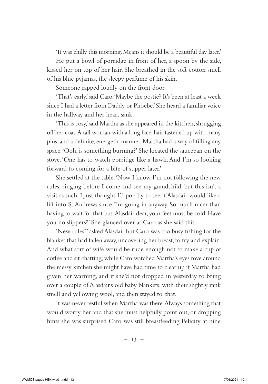'It was chilly this morning. Means it should be a beautiful day later.'

He put a bowl of porridge in front of her, a spoon by the side, kissed her on top of her hair. She breathed in the soft cotton smell of his blue pyjamas, the sleepy perfume of his skin.

Someone rapped loudly on the front door.

'That's early,' said Caro. 'Maybe the postie? It's been at least a week since I had a letter from Daddy or Phoebe.' She heard a familiar voice in the hallway and her heart sank.

'This is cosy,' said Martha as she appeared in the kitchen, shrugging off her coat. A tall woman with a long face, hair fastened up with many pins, and a definite, energetic manner, Martha had a way of filling any space. 'Ooh, is something burning?' She located the saucepan on the stove. 'One has to watch porridge like a hawk. And I'm so looking forward to coming for a bite of supper later.'

She settled at the table. 'Now I know I'm not following the new rules, ringing before I come and see my grandchild, but this isn't a visit as such. I just thought I'd pop by to see if Alasdair would like a lift into St Andrews since I'm going in anyway. So much nicer than having to wait for that bus. Alasdair dear, your feet must be cold. Have you no slippers?' She glanced over at Caro as she said this.

'New rules?' asked Alasdair but Caro was too busy fishing for the blanket that had fallen away, uncovering her breast, to try and explain. And what sort of wife would be rude enough not to make a cup of coffee and sit chatting, while Caro watched Martha's eyes rove around the messy kitchen she might have had time to clear up if Martha had given her warning, and if she'd not dropped in yesterday to bring over a couple of Alasdair's old baby blankets, with their slightly rank smell and yellowing wool, and then stayed to chat.

It was never restful when Martha was there. Always something that would worry her and that she must helpfully point out, or dropping hints she was surprised Caro was still breastfeeding Felicity at nine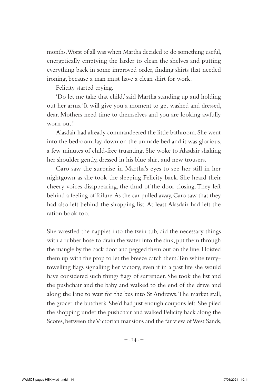months. Worst of all was when Martha decided to do something useful, energetically emptying the larder to clean the shelves and putting everything back in some improved order, finding shirts that needed ironing, because a man must have a clean shirt for work.

Felicity started crying.

'Do let me take that child,' said Martha standing up and holding out her arms. 'It will give you a moment to get washed and dressed, dear. Mothers need time to themselves and you are looking awfully worn out.'

Alasdair had already commandeered the little bathroom. She went into the bedroom, lay down on the unmade bed and it was glorious, a few minutes of child-free truanting. She woke to Alasdair shaking her shoulder gently, dressed in his blue shirt and new trousers.

Caro saw the surprise in Martha's eyes to see her still in her nightgown as she took the sleeping Felicity back. She heard their cheery voices disappearing, the thud of the door closing. They left behind a feeling of failure. As the car pulled away, Caro saw that they had also left behind the shopping list. At least Alasdair had left the ration book too.

She wrestled the nappies into the twin tub, did the necessary things with a rubber hose to drain the water into the sink, put them through the mangle by the back door and pegged them out on the line. Hoisted them up with the prop to let the breeze catch them. Ten white terrytowelling flags signalling her victory, even if in a past life she would have considered such things flags of surrender. She took the list and the pushchair and the baby and walked to the end of the drive and along the lane to wait for the bus into St Andrews. The market stall, the grocer, the butcher's. She'd had just enough coupons left. She piled the shopping under the pushchair and walked Felicity back along the Scores, between the Victorian mansions and the far view of West Sands,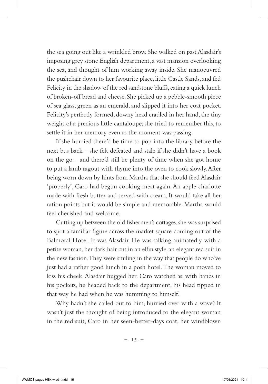the sea going out like a wrinkled brow. She walked on past Alasdair's imposing grey stone English department, a vast mansion overlooking the sea, and thought of him working away inside. She manoeuvred the pushchair down to her favourite place, little Castle Sands, and fed Felicity in the shadow of the red sandstone bluffs, eating a quick lunch of broken-off bread and cheese. She picked up a pebble-smooth piece of sea glass, green as an emerald, and slipped it into her coat pocket. Felicity's perfectly formed, downy head cradled in her hand, the tiny weight of a precious little cantaloupe; she tried to remember this, to settle it in her memory even as the moment was passing.

If she hurried there'd be time to pop into the library before the next bus back – she felt defeated and stale if she didn't have a book on the go – and there'd still be plenty of time when she got home to put a lamb ragout with thyme into the oven to cook slowly. After being worn down by hints from Martha that she should feed Alasdair 'properly', Caro had begun cooking meat again. An apple charlotte made with fresh butter and served with cream. It would take all her ration points but it would be simple and memorable. Martha would feel cherished and welcome.

Cutting up between the old fishermen's cottages, she was surprised to spot a familiar figure across the market square coming out of the Balmoral Hotel. It was Alasdair. He was talking animatedly with a petite woman, her dark hair cut in an elfin style, an elegant red suit in the new fashion. They were smiling in the way that people do who've just had a rather good lunch in a posh hotel. The woman moved to kiss his cheek. Alasdair hugged her. Caro watched as, with hands in his pockets, he headed back to the department, his head tipped in that way he had when he was humming to himself.

Why hadn't she called out to him, hurried over with a wave? It wasn't just the thought of being introduced to the elegant woman in the red suit, Caro in her seen-better-days coat, her windblown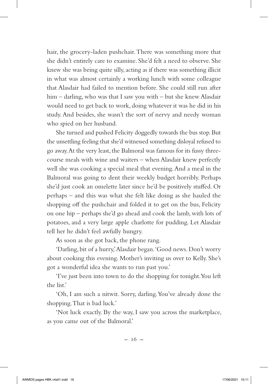hair, the grocery-laden pushchair. There was something more that she didn't entirely care to examine. She'd felt a need to observe. She knew she was being quite silly, acting as if there was something illicit in what was almost certainly a working lunch with some colleague that Alasdair had failed to mention before. She could still run after him – darling, who was that I saw you with – but she knew Alasdair would need to get back to work, doing whatever it was he did in his study. And besides, she wasn't the sort of nervy and needy woman who spied on her husband.

She turned and pushed Felicity doggedly towards the bus stop. But the unsettling feeling that she'd witnessed something disloyal refused to go away. At the very least, the Balmoral was famous for its fussy threecourse meals with wine and waiters – when Alasdair knew perfectly well she was cooking a special meal that evening. And a meal in the Balmoral was going to dent their weekly budget horribly. Perhaps she'd just cook an omelette later since he'd be positively stuffed. Or perhaps – and this was what she felt like doing as she hauled the shopping off the pushchair and folded it to get on the bus, Felicity on one hip – perhaps she'd go ahead and cook the lamb, with lots of potatoes, and a very large apple charlotte for pudding. Let Alasdair tell her he didn't feel awfully hungry.

As soon as she got back, the phone rang.

'Darling, bit of a hurry,' Alasdair began. 'Good news. Don't worry about cooking this evening. Mother's inviting us over to Kelly. She's got a wonderful idea she wants to run past you.'

'I've just been into town to do the shopping for tonight. You left the list.'

'Oh, I am such a nitwit. Sorry, darling. You've already done the shopping. That is bad luck.'

'Not luck exactly. By the way, I saw you across the marketplace, as you came out of the Balmoral.'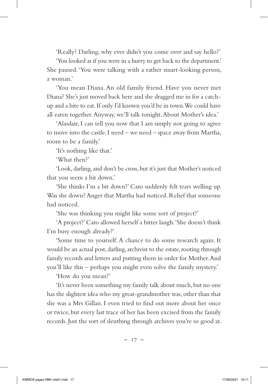'Really? Darling, why ever didn't you come over and say hello?'

'You looked as if you were in a hurry to get back to the department.' She paused. 'You were talking with a rather smart-looking person, a woman.'

'You mean Diana. An old family friend. Have you never met Diana? She's just moved back here and she dragged me in for a catchup and a bite to eat. If only I'd known you'd be in town. We could have all eaten together. Anyway, we'll talk tonight. About Mother's idea.'

'Alasdair, I can tell you now that I am simply not going to agree to move into the castle. I need – we need – space away from Martha, room to be a family.'

'It's nothing like that.'

'What then?'

'Look, darling, and don't be cross, but it's just that Mother's noticed that you seem a bit down.'

'She thinks I'm a bit down?' Caro suddenly felt tears welling up. Was she down? Anger that Martha had noticed. Relief that someone had noticed.

'She was thinking you might like some sort of project?'

'A project?' Caro allowed herself a bitter laugh. 'She doesn't think I'm busy enough already?'

'Some time to yourself. A chance to do some research again. It would be an actual post, darling, archivist to the estate, rooting through family records and letters and putting them in order for Mother. And you'll like this – perhaps you might even solve the family mystery.'

'How do you mean?'

'It's never been something my family talk about much, but no one has the slightest idea who my great-grandmother was, other than that she was a Mrs Gillan. I even tried to find out more about her once or twice, but every last trace of her has been excised from the family records. Just the sort of sleuthing through archives you're so good at.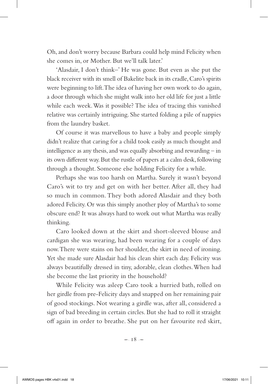Oh, and don't worry because Barbara could help mind Felicity when she comes in, or Mother. But we'll talk later.'

'Alasdair, I don't think–' He was gone. But even as she put the black receiver with its smell of Bakelite back in its cradle, Caro's spirits were beginning to lift. The idea of having her own work to do again, a door through which she might walk into her old life for just a little while each week. Was it possible? The idea of tracing this vanished relative was certainly intriguing. She started folding a pile of nappies from the laundry basket.

Of course it was marvellous to have a baby and people simply didn't realize that caring for a child took easily as much thought and intelligence as any thesis, and was equally absorbing and rewarding – in its own different way. But the rustle of papers at a calm desk, following through a thought. Someone else holding Felicity for a while.

Perhaps she was too harsh on Martha. Surely it wasn't beyond Caro's wit to try and get on with her better. After all, they had so much in common. They both adored Alasdair and they both adored Felicity. Or was this simply another ploy of Martha's to some obscure end? It was always hard to work out what Martha was really thinking.

Caro looked down at the skirt and short-sleeved blouse and cardigan she was wearing, had been wearing for a couple of days now. There were stains on her shoulder, the skirt in need of ironing. Yet she made sure Alasdair had his clean shirt each day. Felicity was always beautifully dressed in tiny, adorable, clean clothes. When had she become the last priority in the household?

While Felicity was asleep Caro took a hurried bath, rolled on her girdle from pre-Felicity days and snapped on her remaining pair of good stockings. Not wearing a girdle was, after all, considered a sign of bad breeding in certain circles. But she had to roll it straight off again in order to breathe. She put on her favourite red skirt,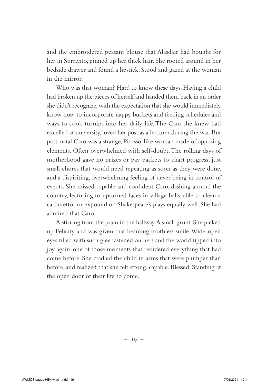and the embroidered peasant blouse that Alasdair had bought for her in Sorrento, pinned up her thick hair. She rooted around in her bedside drawer and found a lipstick. Stood and gazed at the woman in the mirror.

Who was that woman? Hard to know these days. Having a child had broken up the pieces of herself and handed them back in an order she didn't recognize, with the expectation that she would immediately know how to incorporate nappy buckets and feeding schedules and ways to cook turnips into her daily life. The Caro she knew had excelled at university, loved her post as a lecturer during the war. But post-natal Caro was a strange, Picasso-like woman made of opposing elements. Often overwhelmed with self-doubt. The rolling days of motherhood gave no prizes or pay packets to chart progress, just small chores that would need repeating as soon as they were done, and a dispiriting, overwhelming feeling of never being in control of events. She missed capable and confident Caro, dashing around the country, lecturing to upturned faces in village halls, able to clean a carburettor or expound on Shakespeare's plays equally well. She had admired that Caro.

A stirring from the pram in the hallway. A small grunt. She picked up Felicity and was given that beaming toothless smile. Wide-open eyes filled with such glee fastened on hers and the world tipped into joy again, one of those moments that reordered everything that had come before. She cradled the child in arms that were plumper than before, and realized that she felt strong, capable. Blessed. Standing at the open door of their life to come.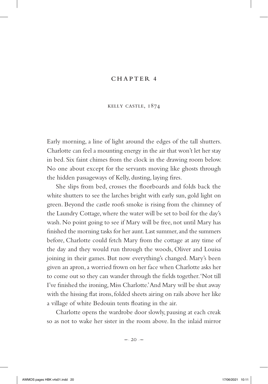# **C H A P T E R 4**

## kelly castle, 1874

Early morning, a line of light around the edges of the tall shutters. Charlotte can feel a mounting energy in the air that won't let her stay in bed. Six faint chimes from the clock in the drawing room below. No one about except for the servants moving like ghosts through the hidden passageways of Kelly, dusting, laying fires.

She slips from bed, crosses the floorboards and folds back the white shutters to see the larches bright with early sun, gold light on green. Beyond the castle roofs smoke is rising from the chimney of the Laundry Cottage, where the water will be set to boil for the day's wash. No point going to see if Mary will be free, not until Mary has finished the morning tasks for her aunt. Last summer, and the summers before, Charlotte could fetch Mary from the cottage at any time of the day and they would run through the woods, Oliver and Louisa joining in their games. But now everything's changed. Mary's been given an apron, a worried frown on her face when Charlotte asks her to come out so they can wander through the fields together. 'Not till I've finished the ironing, Miss Charlotte.' And Mary will be shut away with the hissing flat irons, folded sheets airing on rails above her like a village of white Bedouin tents floating in the air.

Charlotte opens the wardrobe door slowly, pausing at each creak so as not to wake her sister in the room above. In the inlaid mirror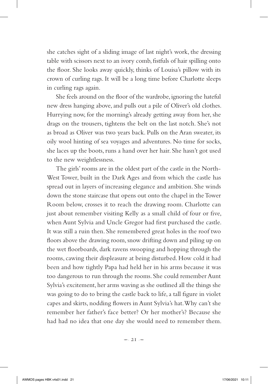she catches sight of a sliding image of last night's work, the dressing table with scissors next to an ivory comb, fistfuls of hair spilling onto the floor. She looks away quickly, thinks of Louisa's pillow with its crown of curling rags. It will be a long time before Charlotte sleeps in curling rags again.

She feels around on the floor of the wardrobe, ignoring the hateful new dress hanging above, and pulls out a pile of Oliver's old clothes. Hurrying now, for the morning's already getting away from her, she drags on the trousers, tightens the belt on the last notch. She's not as broad as Oliver was two years back. Pulls on the Aran sweater, its oily wool hinting of sea voyages and adventures. No time for socks, she laces up the boots, runs a hand over her hair. She hasn't got used to the new weightlessness.

The girls' rooms are in the oldest part of the castle in the North-West Tower, built in the Dark Ages and from which the castle has spread out in layers of increasing elegance and ambition. She winds down the stone staircase that opens out onto the chapel in the Tower Room below, crosses it to reach the drawing room. Charlotte can just about remember visiting Kelly as a small child of four or five, when Aunt Sylvia and Uncle Gregor had first purchased the castle. It was still a ruin then. She remembered great holes in the roof two floors above the drawing room, snow drifting down and piling up on the wet floorboards, dark ravens swooping and hopping through the rooms, cawing their displeasure at being disturbed. How cold it had been and how tightly Papa had held her in his arms because it was too dangerous to run through the rooms. She could remember Aunt Sylvia's excitement, her arms waving as she outlined all the things she was going to do to bring the castle back to life, a tall figure in violet capes and skirts, nodding flowers in Aunt Sylvia's hat. Why can't she remember her father's face better? Or her mother's? Because she had had no idea that one day she would need to remember them.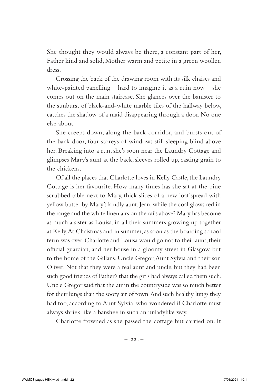She thought they would always be there, a constant part of her, Father kind and solid, Mother warm and petite in a green woollen dress.

Crossing the back of the drawing room with its silk chaises and white-painted panelling – hard to imagine it as a ruin now – she comes out on the main staircase. She glances over the banister to the sunburst of black-and-white marble tiles of the hallway below, catches the shadow of a maid disappearing through a door. No one else about.

She creeps down, along the back corridor, and bursts out of the back door, four storeys of windows still sleeping blind above her. Breaking into a run, she's soon near the Laundry Cottage and glimpses Mary's aunt at the back, sleeves rolled up, casting grain to the chickens.

Of all the places that Charlotte loves in Kelly Castle, the Laundry Cottage is her favourite. How many times has she sat at the pine scrubbed table next to Mary, thick slices of a new loaf spread with yellow butter by Mary's kindly aunt, Jean, while the coal glows red in the range and the white linen airs on the rails above? Mary has become as much a sister as Louisa, in all their summers growing up together at Kelly. At Christmas and in summer, as soon as the boarding school term was over, Charlotte and Louisa would go not to their aunt, their official guardian, and her house in a gloomy street in Glasgow, but to the home of the Gillans, Uncle Gregor, Aunt Sylvia and their son Oliver. Not that they were a real aunt and uncle, but they had been such good friends of Father's that the girls had always called them such. Uncle Gregor said that the air in the countryside was so much better for their lungs than the sooty air of town. And such healthy lungs they had too, according to Aunt Sylvia, who wondered if Charlotte must always shriek like a banshee in such an unladylike way.

Charlotte frowned as she passed the cottage but carried on. It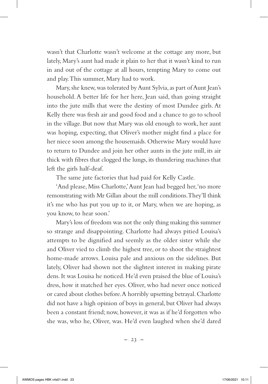wasn't that Charlotte wasn't welcome at the cottage any more, but lately, Mary's aunt had made it plain to her that it wasn't kind to run in and out of the cottage at all hours, tempting Mary to come out and play. This summer, Mary had to work.

Mary, she knew, was tolerated by Aunt Sylvia, as part of Aunt Jean's household. A better life for her here, Jean said, than going straight into the jute mills that were the destiny of most Dundee girls. At Kelly there was fresh air and good food and a chance to go to school in the village. But now that Mary was old enough to work, her aunt was hoping, expecting, that Oliver's mother might find a place for her niece soon among the housemaids. Otherwise Mary would have to return to Dundee and join her other aunts in the jute mill, its air thick with fibres that clogged the lungs, its thundering machines that left the girls half-deaf.

The same jute factories that had paid for Kelly Castle.

'And please, Miss Charlotte,' Aunt Jean had begged her, 'no more remonstrating with Mr Gillan about the mill conditions. They'll think it's me who has put you up to it, or Mary, when we are hoping, as you know, to hear soon.'

Mary's loss of freedom was not the only thing making this summer so strange and disappointing. Charlotte had always pitied Louisa's attempts to be dignified and seemly as the older sister while she and Oliver vied to climb the highest tree, or to shoot the straightest home-made arrows. Louisa pale and anxious on the sidelines. But lately, Oliver had shown not the slightest interest in making pirate dens. It was Louisa he noticed. He'd even praised the blue of Louisa's dress, how it matched her eyes. Oliver, who had never once noticed or cared about clothes before. A horribly upsetting betrayal. Charlotte did not have a high opinion of boys in general, but Oliver had always been a constant friend; now, however, it was as if he'd forgotten who she was, who he, Oliver, was. He'd even laughed when she'd dared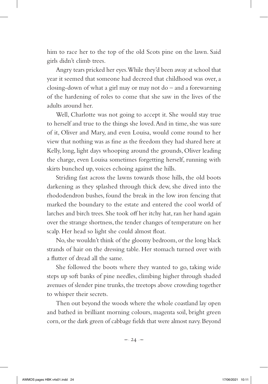him to race her to the top of the old Scots pine on the lawn. Said girls didn't climb trees.

Angry tears pricked her eyes. While they'd been away at school that year it seemed that someone had decreed that childhood was over, a closing-down of what a girl may or may not do – and a forewarning of the hardening of roles to come that she saw in the lives of the adults around her.

Well, Charlotte was not going to accept it. She would stay true to herself and true to the things she loved. And in time, she was sure of it, Oliver and Mary, and even Louisa, would come round to her view that nothing was as fine as the freedom they had shared here at Kelly, long, light days whooping around the grounds, Oliver leading the charge, even Louisa sometimes forgetting herself, running with skirts bunched up, voices echoing against the hills.

Striding fast across the lawns towards those hills, the old boots darkening as they splashed through thick dew, she dived into the rhododendron bushes, found the break in the low iron fencing that marked the boundary to the estate and entered the cool world of larches and birch trees. She took off her itchy hat, ran her hand again over the strange shortness, the tender changes of temperature on her scalp. Her head so light she could almost float.

No, she wouldn't think of the gloomy bedroom, or the long black strands of hair on the dressing table. Her stomach turned over with a flutter of dread all the same.

She followed the boots where they wanted to go, taking wide steps up soft banks of pine needles, climbing higher through shaded avenues of slender pine trunks, the treetops above crowding together to whisper their secrets.

Then out beyond the woods where the whole coastland lay open and bathed in brilliant morning colours, magenta soil, bright green corn, or the dark green of cabbage fields that were almost navy. Beyond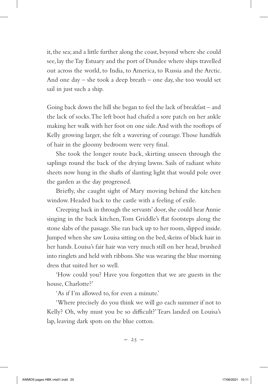it, the sea; and a little further along the coast, beyond where she could see, lay the Tay Estuary and the port of Dundee where ships travelled out across the world, to India, to America, to Russia and the Arctic. And one day – she took a deep breath – one day, she too would set sail in just such a ship.

Going back down the hill she began to feel the lack of breakfast – and the lack of socks. The left boot had chafed a sore patch on her ankle making her walk with her foot on one side. And with the rooftops of Kelly growing larger, she felt a wavering of courage. Those handfuls of hair in the gloomy bedroom were very final.

She took the longer route back, skirting unseen through the saplings round the back of the drying lawns. Sails of radiant white sheets now hung in the shafts of slanting light that would pole over the garden as the day progressed.

Briefly, she caught sight of Mary moving behind the kitchen window. Headed back to the castle with a feeling of exile.

Creeping back in through the servants' door, she could hear Annie singing in the back kitchen, Tom Griddle's flat footsteps along the stone slabs of the passage. She ran back up to her room, slipped inside. Jumped when she saw Louisa sitting on the bed, skeins of black hair in her hands. Louisa's fair hair was very much still on her head, brushed into ringlets and held with ribbons. She was wearing the blue morning dress that suited her so well.

'How could you? Have you forgotten that we are guests in the house, Charlotte?'

'As if I'm allowed to, for even a minute.'

'Where precisely do you think we will go each summer if not to Kelly? Oh, why must you be so difficult?' Tears landed on Louisa's lap, leaving dark spots on the blue cotton.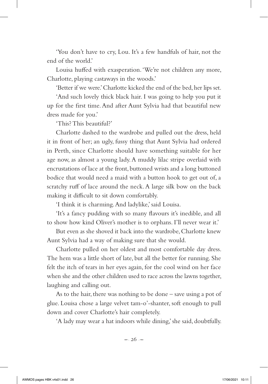'You don't have to cry, Lou. It's a few handfuls of hair, not the end of the world.'

Louisa huffed with exasperation. 'We're not children any more, Charlotte, playing castaways in the woods.'

'Better if we were.' Charlotte kicked the end of the bed, her lips set.

'And such lovely thick black hair. I was going to help you put it up for the first time. And after Aunt Sylvia had that beautiful new dress made for you.'

'This? This beautiful?'

Charlotte dashed to the wardrobe and pulled out the dress, held it in front of her; an ugly, fussy thing that Aunt Sylvia had ordered in Perth, since Charlotte should have something suitable for her age now, as almost a young lady. A muddy lilac stripe overlaid with encrustations of lace at the front, buttoned wrists and a long buttoned bodice that would need a maid with a button hook to get out of, a scratchy ruff of lace around the neck. A large silk bow on the back making it difficult to sit down comfortably.

'I think it is charming. And ladylike,' said Louisa.

'It's a fancy pudding with so many flavours it's inedible, and all to show how kind Oliver's mother is to orphans. I'll never wear it.'

But even as she shoved it back into the wardrobe, Charlotte knew Aunt Sylvia had a way of making sure that she would.

Charlotte pulled on her oldest and most comfortable day dress. The hem was a little short of late, but all the better for running. She felt the itch of tears in her eyes again, for the cool wind on her face when she and the other children used to race across the lawns together, laughing and calling out.

As to the hair, there was nothing to be done – save using a pot of glue. Louisa chose a large velvet tam-o'-shanter, soft enough to pull down and cover Charlotte's hair completely.

'A lady may wear a hat indoors while dining,' she said, doubtfully.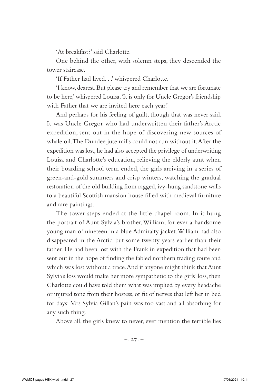'At breakfast?' said Charlotte.

One behind the other, with solemn steps, they descended the tower staircase.

'If Father had lived. . .' whispered Charlotte.

'I know, dearest. But please try and remember that we are fortunate to be here,' whispered Louisa. 'It is only for Uncle Gregor's friendship with Father that we are invited here each year.'

And perhaps for his feeling of guilt, though that was never said. It was Uncle Gregor who had underwritten their father's Arctic expedition, sent out in the hope of discovering new sources of whale oil. The Dundee jute mills could not run without it. After the expedition was lost, he had also accepted the privilege of underwriting Louisa and Charlotte's education, relieving the elderly aunt when their boarding school term ended, the girls arriving in a series of green-and-gold summers and crisp winters, watching the gradual restoration of the old building from ragged, ivy-hung sandstone walls to a beautiful Scottish mansion house filled with medieval furniture and rare paintings.

The tower steps ended at the little chapel room. In it hung the portrait of Aunt Sylvia's brother, William, for ever a handsome young man of nineteen in a blue Admiralty jacket. William had also disappeared in the Arctic, but some twenty years earlier than their father. He had been lost with the Franklin expedition that had been sent out in the hope of finding the fabled northern trading route and which was lost without a trace. And if anyone might think that Aunt Sylvia's loss would make her more sympathetic to the girls' loss, then Charlotte could have told them what was implied by every headache or injured tone from their hostess, or fit of nerves that left her in bed for days: Mrs Sylvia Gillan's pain was too vast and all absorbing for any such thing.

Above all, the girls knew to never, ever mention the terrible lies